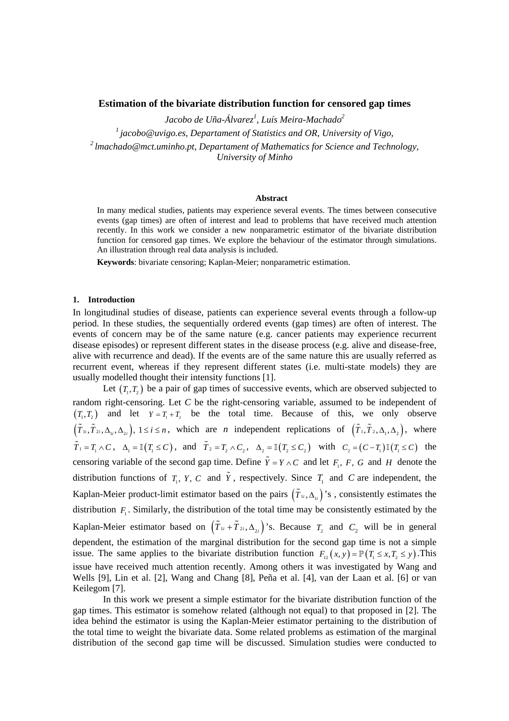## **Estimation of the bivariate distribution function for censored gap times**

*Jacobo de Uña-Álvarez1 , Luís Meira-Machado2*

*1 jacobo@uvigo.es, Departament of Statistics and OR, University of Vigo, 2 lmachado@mct.uminho.pt, Departament of Mathematics for Science and Technology,* 

*University of Minho* 

#### **Abstract**

In many medical studies, patients may experience several events. The times between consecutive events (gap times) are often of interest and lead to problems that have received much attention recently. In this work we consider a new nonparametric estimator of the bivariate distribution function for censored gap times. We explore the behaviour of the estimator through simulations. An illustration through real data analysis is included.

**Keywords**: bivariate censoring; Kaplan-Meier; nonparametric estimation.

#### **1. Introduction**

In longitudinal studies of disease, patients can experience several events through a follow-up period. In these studies, the sequentially ordered events (gap times) are often of interest. The events of concern may be of the same nature (e.g. cancer patients may experience recurrent disease episodes) or represent different states in the disease process (e.g. alive and disease-free, alive with recurrence and dead). If the events are of the same nature this are usually referred as recurrent event, whereas if they represent different states (i.e. multi-state models) they are usually modelled thought their intensity functions [1].

Let  $(T, T)$  be a pair of gap times of successive events, which are observed subjected to random right-censoring. Let *C* be the right-censoring variable, assumed to be independent of  $(T, T)$  and let  $Y = T + T$ , be the total time. Because of this, we only observe  $(\tilde{T}_{1i}, \tilde{T}_{2i}, \Delta_{1i}, \Delta_{2i})$ ,  $1 \le i \le n$ , which are *n* independent replications of  $(\tilde{T}_1, \tilde{T}_2, \Delta_1, \Delta_2)$ , where  $\tilde{T}_1 = T_1 \wedge C$ ,  $\Delta_1 = \mathbb{I}(T_1 \leq C)$ , and  $\tilde{T}_2 = T_2 \wedge C_2$ ,  $\Delta_2 = \mathbb{I}(T_2 \leq C_2)$  with  $C_2 = (C - T_1) \mathbb{I}(T_1 \leq C)$  the censoring variable of the second gap time. Define  $\tilde{Y} = Y \wedge C$  and let  $F_1$ ,  $F$ ,  $G$  and  $H$  denote the distribution functions of  $T_1$ ,  $Y_2$ ,  $C$  and  $\tilde{Y}_1$ , respectively. Since  $T_1$  and  $C$  are independent, the Kaplan-Meier product-limit estimator based on the pairs  $(\tilde{T}_{1i}, \Delta_{1i})$ 's, consistently estimates the distribution  $F_1$ . Similarly, the distribution of the total time may be consistently estimated by the Kaplan-Meier estimator based on  $(\tilde{T}_{1i} + \tilde{T}_{2i}, \Delta_{2i})$ 's. Because  $T_2$  and  $C_2$  will be in general dependent, the estimation of the marginal distribution for the second gap time is not a simple issue. The same applies to the bivariate distribution function  $F_{12}(x, y) = \mathbb{P}(T_1 \le x, T_2 \le y)$ . This issue have received much attention recently. Among others it was investigated by Wang and Wells [9], Lin et al. [2], Wang and Chang [8], Peña et al. [4], van der Laan et al. [6] or van Keilegom [7].

In this work we present a simple estimator for the bivariate distribution function of the gap times. This estimator is somehow related (although not equal) to that proposed in [2]. The idea behind the estimator is using the Kaplan-Meier estimator pertaining to the distribution of the total time to weight the bivariate data. Some related problems as estimation of the marginal distribution of the second gap time will be discussed. Simulation studies were conducted to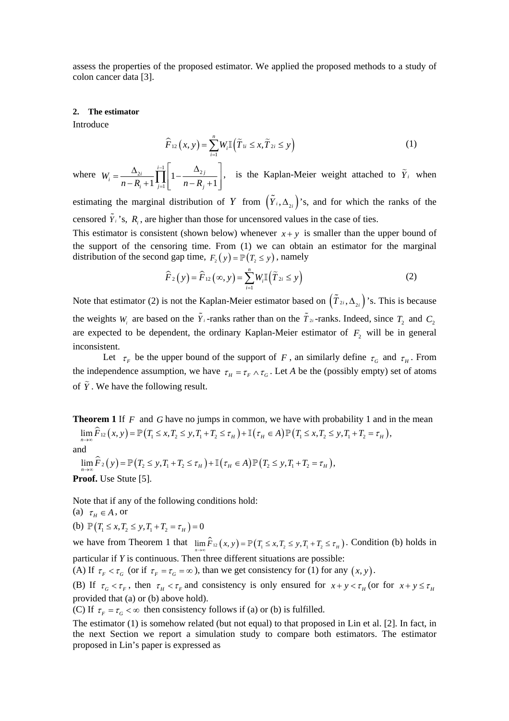assess the properties of the proposed estimator. We applied the proposed methods to a study of colon cancer data [3].

#### **2. The estimator**

Introduce

$$
\widehat{F}_{12}(x, y) = \sum_{i=1}^{n} W_i \mathbb{I}(\widetilde{T}_{1i} \le x, \widetilde{T}_{2i} \le y)
$$
\n(1)

where  $W_i = \frac{\Delta_{2i}}{\prod_{i=1}^{i-1}} 1 - \frac{\Delta_2}{\prod_{i=1}^{i-1}}$ 1 1  $\left| \begin{matrix} 1 & 1 \\ 1 & -1 \end{matrix} \right|$   $n - R_i + 1$  $\sum_{i}$   $\frac{\Delta_{2i}}{n-R_{i}+1}$   $\prod_{j=1}^{i-1}$   $\left|1-\frac{\Delta_{2j}}{n-R_{j}}\right|$ *W*  $n-R_i+1$ <sup>1</sup><sub>i=1</sub>|  $n-R_i$ − =  $=\frac{\Delta_{2i}}{n-R_i+1} \prod_{j=1}^{i-1} \left[1-\frac{\Delta_{2j}}{n-R_j+1}\right]$ , is the Kaplan-Meier weight attached to  $\tilde{Y}_i$  when

estimating the marginal distribution of *Y* from  $(\tilde{Y}_i, \Delta_{\gamma_i})$ 's, and for which the ranks of the censored  $\tilde{Y}_i$ 's,  $R_i$ , are higher than those for uncensored values in the case of ties.

This estimator is consistent (shown below) whenever  $x + y$  is smaller than the upper bound of the support of the censoring time. From (1) we can obtain an estimator for the marginal distribution of the second gap time,  $F_y(y) = \mathbb{P}(T_x \le y)$ , namely

$$
\widehat{F}_2(y) = \widehat{F}_{12}(\infty, y) = \sum_{i=1}^n W_i \mathbb{I}(\widetilde{T}_{2i} \le y)
$$
\n(2)

Note that estimator (2) is not the Kaplan-Meier estimator based on  $(\tilde{T}_{2i}, \Delta_{2i})$ 's. This is because the weights  $W_i$  are based on the  $\tilde{Y}_i$ -ranks rather than on the  $\tilde{T}_{2i}$ -ranks. Indeed, since  $T_2$  and  $C_2$ are expected to be dependent, the ordinary Kaplan-Meier estimator of  $F<sub>2</sub>$  will be in general inconsistent.

Let  $\tau_F$  be the upper bound of the support of *F*, an similarly define  $\tau_G$  and  $\tau_H$ . From the independence assumption, we have  $\tau_H = \tau_F \wedge \tau_G$ . Let *A* be the (possibly empty) set of atoms of  $\tilde{Y}$ . We have the following result.

**Theorem 1** If F and G have no jumps in common, we have with probability 1 and in the mean  $\lim_{n\to\infty} \widehat{F}_{12}(x, y) = \mathbb{P}(T_1 \leq x, T_2 \leq y, T_1 + T_2 \leq \tau_H) + \mathbb{I}(\tau_H \in A) \mathbb{P}(T_1 \leq x, T_2 \leq y, T_1 + T_2 = \tau_H),$ 

and

 $\lim_{T \to \infty} \widehat{F}_2(y) = \mathbb{P}(T_2 \leq y, T_1 + T_2 \leq \tau_H) + \mathbb{I}(\tau_H \in A) \mathbb{P}(T_2 \leq y, T_1 + T_2 = \tau_H),$ 

**Proof.** Use Stute [5].

Note that if any of the following conditions hold:

(a)  $\tau_H \in A$ , or

(b) 
$$
\mathbb{P}(T_1 \le x, T_2 \le y, T_1 + T_2 = \tau_H) = 0
$$

we have from Theorem 1 that  $\lim_{n\to\infty} \hat{F}_{12}(x, y) = \mathbb{P}(T_1 \le x, T_2 \le y, T_1 + T_2 \le \tau_H)$ . Condition (b) holds in particular if *Y* is continuous. Then three different situations are possible:

(A) If  $\tau_F < \tau_G$  (or if  $\tau_F = \tau_G = \infty$ ), than we get consistency for (1) for any  $(x, y)$ .

(B) If  $\tau_{G} < \tau_{F}$ , then  $\tau_{H} < \tau_{F}$  and consistency is only ensured for  $x + y < \tau_{H}$  (or for  $x + y \leq \tau_{H}$ provided that (a) or (b) above hold).

(C) If  $\tau_F = \tau_G < \infty$  then consistency follows if (a) or (b) is fulfilled.

The estimator (1) is somehow related (but not equal) to that proposed in Lin et al. [2]. In fact, in the next Section we report a simulation study to compare both estimators. The estimator proposed in Lin's paper is expressed as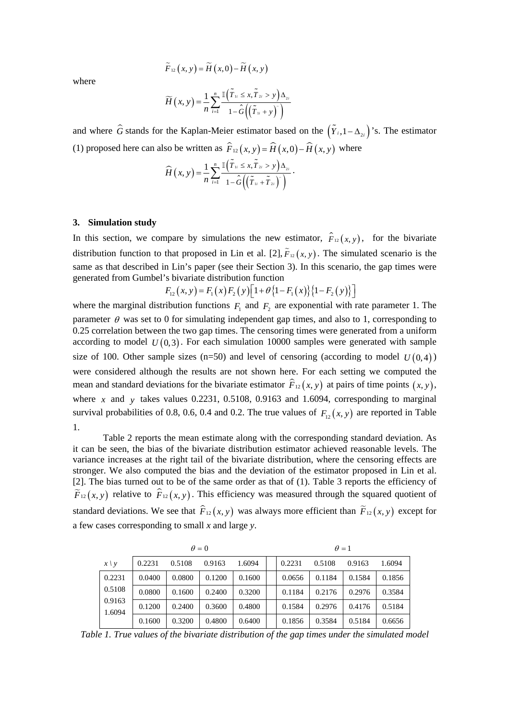$$
\widetilde{F}_{12}\left(x,y\right)=\widetilde{H}\left(x,0\right)-\widetilde{H}\left(x,y\right)
$$

where

$$
\widetilde{H}\left(x,y\right) = \frac{1}{n} \sum_{i=1}^{n} \frac{\mathbb{I}\left(\widetilde{T}_{1i} \leq x, \widetilde{T}_{2i} > y\right) \Delta_{2i}}{1 - \widehat{G}\left(\left(\widetilde{T}_{1i} + y\right)^{-}\right)}
$$

and where  $\hat{G}$  stands for the Kaplan-Meier estimator based on the  $(\tilde{Y}_{i},1-\Delta_{\chi_{i}})$ 's. The estimator (1) proposed here can also be written as  $\hat{F}_{12}(x, y) = \hat{H}(x, 0) - \hat{H}(x, y)$  where

$$
\widehat{H}(x,y) = \frac{1}{n} \sum_{i=1}^n \frac{\mathbb{I}(\widetilde{T}_{ii} \leq x, \widetilde{T}_{2i} > y) \Delta_{2i}}{1 - \widehat{G}((\widetilde{T}_{ii} + \widetilde{T}_{2i})^*)}.
$$

### **3. Simulation study**

In this section, we compare by simulations the new estimator,  $\hat{F}_{12}(x, y)$ , for the bivariate distribution function to that proposed in Lin et al. [2],  $\tilde{F}_{12}(x, y)$ . The simulated scenario is the same as that described in Lin's paper (see their Section 3). In this scenario, the gap times were generated from Gumbel's bivariate distribution function

$$
F_{12}(x, y) = F_1(x) F_2(y) \left[ 1 + \theta \{1 - F_1(x)\} \{1 - F_2(y)\} \right]
$$

where the marginal distribution functions  $F_1$  and  $F_2$  are exponential with rate parameter 1. The parameter  $\theta$  was set to 0 for simulating independent gap times, and also to 1, corresponding to 0.25 correlation between the two gap times. The censoring times were generated from a uniform according to model  $U(0,3)$ . For each simulation 10000 samples were generated with sample size of 100. Other sample sizes ( $n=50$ ) and level of censoring (according to model  $U(0,4)$ ) were considered although the results are not shown here. For each setting we computed the mean and standard deviations for the bivariate estimator  $\hat{F}_{12}(x, y)$  at pairs of time points  $(x, y)$ , where *x* and *y* takes values 0.2231, 0.5108, 0.9163 and 1.6094, corresponding to marginal survival probabilities of 0.8, 0.6, 0.4 and 0.2. The true values of  $F_{12}(x, y)$  are reported in Table 1.

Table 2 reports the mean estimate along with the corresponding standard deviation. As it can be seen, the bias of the bivariate distribution estimator achieved reasonable levels. The variance increases at the right tail of the bivariate distribution, where the censoring effects are stronger. We also computed the bias and the deviation of the estimator proposed in Lin et al. [2]. The bias turned out to be of the same order as that of (1). Table 3 reports the efficiency of  $\widetilde{F}_{12}(x, y)$  relative to  $\widehat{F}_{12}(x, y)$ . This efficiency was measured through the squared quotient of standard deviations. We see that  $\hat{F}_{12}(x, y)$  was always more efficient than  $\tilde{F}_{12}(x, y)$  except for a few cases corresponding to small *x* and large *y*.

|                  | $\theta = 0$ |        |        |        | $\theta = 1$ |        |        |        |
|------------------|--------------|--------|--------|--------|--------------|--------|--------|--------|
| $x \backslash y$ | 0.2231       | 0.5108 | 0.9163 | 1.6094 | 0.2231       | 0.5108 | 0.9163 | 1.6094 |
| 0.2231           | 0.0400       | 0.0800 | 0.1200 | 0.1600 | 0.0656       | 0.1184 | 0.1584 | 0.1856 |
| 0.5108           | 0.0800       | 0.1600 | 0.2400 | 0.3200 | 0.1184       | 0.2176 | 0.2976 | 0.3584 |
| 0.9163<br>1.6094 | 0.1200       | 0.2400 | 0.3600 | 0.4800 | 0.1584       | 0.2976 | 0.4176 | 0.5184 |
|                  | 0.1600       | 0.3200 | 0.4800 | 0.6400 | 0.1856       | 0.3584 | 0.5184 | 0.6656 |

*Table 1. True values of the bivariate distribution of the gap times under the simulated model*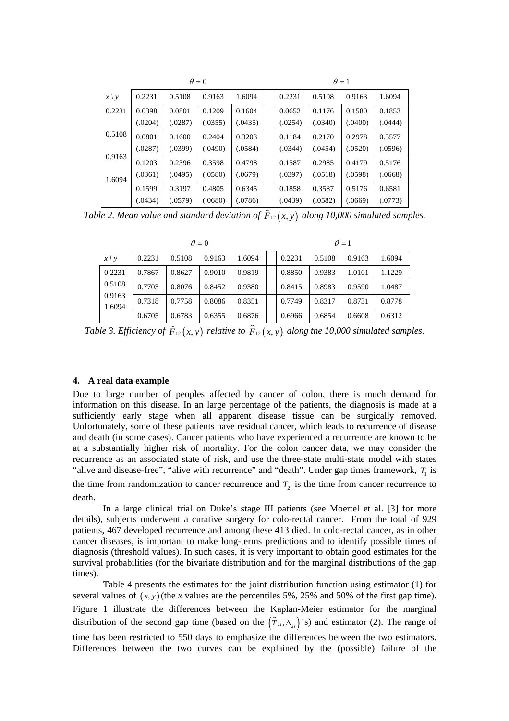|            | $\theta = 0$ |         |         |         | $\theta = 1$ |         |         |         |  |
|------------|--------------|---------|---------|---------|--------------|---------|---------|---------|--|
| $x \mid y$ | 0.2231       | 0.5108  | 0.9163  | 1.6094  | 0.2231       | 0.5108  | 0.9163  | 1.6094  |  |
| 0.2231     | 0.0398       | 0.0801  | 0.1209  | 0.1604  | 0.0652       | 0.1176  | 0.1580  | 0.1853  |  |
|            | (.0204)      | (.0287) | (.0355) | (.0435) | (.0254)      | (.0340) | (.0400) | (.0444) |  |
| 0.5108     | 0.0801       | 0.1600  | 0.2404  | 0.3203  | 0.1184       | 0.2170  | 0.2978  | 0.3577  |  |
|            | (.0287)      | (.0399) | (.0490) | (.0584) | (.0344)      | (.0454) | (.0520) | (.0596) |  |
| 0.9163     | 0.1203       | 0.2396  | 0.3598  | 0.4798  | 0.1587       | 0.2985  | 0.4179  | 0.5176  |  |
| 1.6094     | (.0361)      | (.0495) | (.0580) | (.0679) | (.0397)      | (.0518) | (.0598) | (.0668) |  |
|            | 0.1599       | 0.3197  | 0.4805  | 0.6345  | 0.1858       | 0.3587  | 0.5176  | 0.6581  |  |
|            | (.0434)      | (.0579) | (.0680) | (.0786) | (.0439)      | (.0582) | (.0669) | (.0773) |  |

*Table 2. Mean value and standard deviation of*  $\hat{F}_{12}(x, y)$  *along 10,000 simulated samples.* 

|                  | $\theta = 0$ |        |        |        | $\theta = 1$ |        |        |        |
|------------------|--------------|--------|--------|--------|--------------|--------|--------|--------|
| $x \mid y$       | 0.2231       | 0.5108 | 0.9163 | 1.6094 | 0.2231       | 0.5108 | 0.9163 | 1.6094 |
| 0.2231           | 0.7867       | 0.8627 | 0.9010 | 0.9819 | 0.8850       | 0.9383 | 1.0101 | 1.1229 |
| 0.5108           | 0.7703       | 0.8076 | 0.8452 | 0.9380 | 0.8415       | 0.8983 | 0.9590 | 1.0487 |
| 0.9163<br>1.6094 | 0.7318       | 0.7758 | 0.8086 | 0.8351 | 0.7749       | 0.8317 | 0.8731 | 0.8778 |
|                  | 0.6705       | 0.6783 | 0.6355 | 0.6876 | 0.6966       | 0.6854 | 0.6608 | 0.6312 |

*Table 3. Efficiency of*  $\widetilde{F}_{12}(x, y)$  *relative to*  $\widehat{F}_{12}(x, y)$  *along the 10,000 simulated samples.* 

### **4. A real data example**

Due to large number of peoples affected by cancer of colon, there is much demand for information on this disease. In an large percentage of the patients, the diagnosis is made at a sufficiently early stage when all apparent disease tissue can be surgically removed. Unfortunately, some of these patients have residual cancer, which leads to recurrence of disease and death (in some cases). Cancer patients who have experienced a recurrence are known to be at a substantially higher risk of mortality. For the colon cancer data, we may consider the recurrence as an associated state of risk, and use the three-state multi-state model with states "alive and disease-free", "alive with recurrence" and "death". Under gap times framework,  $T<sub>1</sub>$  is

the time from randomization to cancer recurrence and  $T_2$  is the time from cancer recurrence to death.

 In a large clinical trial on Duke's stage III patients (see Moertel et al. [3] for more details), subjects underwent a curative surgery for colo-rectal cancer. From the total of 929 patients, 467 developed recurrence and among these 413 died. In colo-rectal cancer, as in other cancer diseases, is important to make long-terms predictions and to identify possible times of diagnosis (threshold values). In such cases, it is very important to obtain good estimates for the survival probabilities (for the bivariate distribution and for the marginal distributions of the gap times).

Table 4 presents the estimates for the joint distribution function using estimator (1) for several values of  $(x, y)$  (the *x* values are the percentiles 5%, 25% and 50% of the first gap time). Figure 1 illustrate the differences between the Kaplan-Meier estimator for the marginal distribution of the second gap time (based on the  $(\tilde{T}_{2i}, \Delta_{2i})$ 's) and estimator (2). The range of

time has been restricted to 550 days to emphasize the differences between the two estimators. Differences between the two curves can be explained by the (possible) failure of the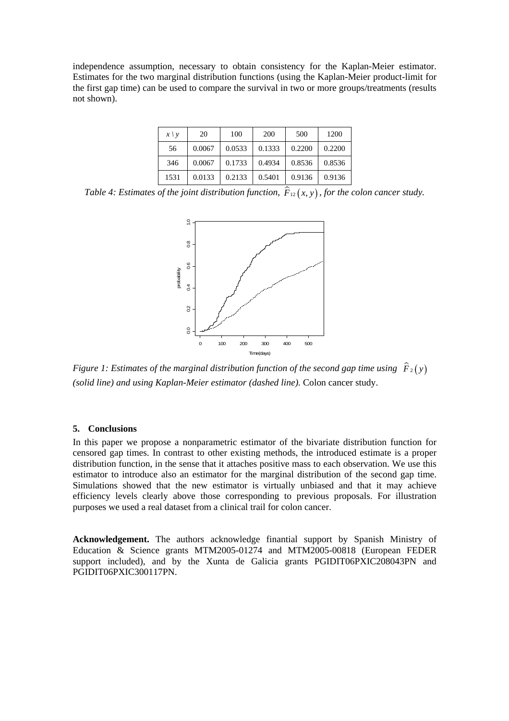independence assumption, necessary to obtain consistency for the Kaplan-Meier estimator. Estimates for the two marginal distribution functions (using the Kaplan-Meier product-limit for the first gap time) can be used to compare the survival in two or more groups/treatments (results not shown).

| $x \vee y$ | 20     | 100    | 200    | 500    | 1200   |
|------------|--------|--------|--------|--------|--------|
| 56         | 0.0067 | 0.0533 | 0.1333 | 0.2200 | 0.2200 |
| 346        | 0.0067 | 0.1733 | 0.4934 | 0.8536 | 0.8536 |
| 1531       | 0.0133 | 0.2133 | 0.5401 | 0.9136 | 0.9136 |

*Table 4: Estimates of the joint distribution function,*  $\hat{F}_{12}(x, y)$ *, for the colon cancer study.* 



*Figure 1: Estimates of the marginal distribution function of the second gap time using*  $\hat{F}_2(y)$ *(solid line) and using Kaplan-Meier estimator (dashed line).* Colon cancer study.

# **5. Conclusions**

In this paper we propose a nonparametric estimator of the bivariate distribution function for censored gap times. In contrast to other existing methods, the introduced estimate is a proper distribution function, in the sense that it attaches positive mass to each observation. We use this estimator to introduce also an estimator for the marginal distribution of the second gap time. Simulations showed that the new estimator is virtually unbiased and that it may achieve efficiency levels clearly above those corresponding to previous proposals. For illustration purposes we used a real dataset from a clinical trail for colon cancer.

**Acknowledgement.** The authors acknowledge finantial support by Spanish Ministry of Education & Science grants MTM2005-01274 and MTM2005-00818 (European FEDER support included), and by the Xunta de Galicia grants PGIDIT06PXIC208043PN and PGIDIT06PXIC300117PN.